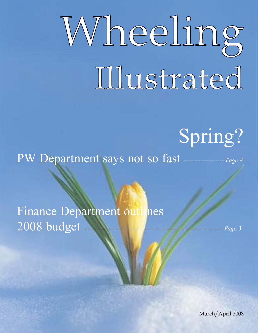# Wheeling Illustrated

# Spring?

PW Department says not so fast ------------------- *Page 8*

Finance Department outlines 2008 budget ------------------------------------------------------------------ *Page 3*

March/April 2008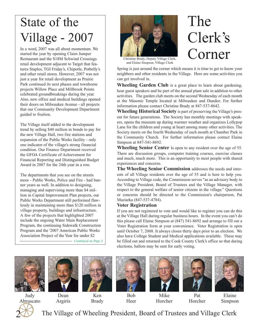# State of the Village - 2007

In a word, 2007 was all about momentum. We started the year by opening Claim Jumper Restaurant and the \$18M Schwind Crossings retail development adjacent to Target that features Staples, TGI Friday's, Chipotle, Potbelly's and other retail stores. However, 2007 was not just a year for retail development as Prairie Park continued its next phases and townhome projects Willow Place and Millbrook Pointe celebrated groundbreakings during the year. Also, new office and medical buildings opened their doors on Milwaukee Avenue - all projects that our Community Development Department guided to fruition.

The Village itself added to the development trend by selling \$40 million in bonds to pay for the new Village Hall, two fire stations and expansion of the Public Works facility - only one indicator of the village's strong financial condition. Our Finance Department received the GFOA Certificate of Achievement for Financial Reporting and Distinguished Budget Award in 2007 for the 24th year in a row.

The departments that you see on the streets more - Public Works, Police and Fire - had banner years as well. In addition to designing, managing and supervising more than \$4 million in Capital Improvement Plan projects, our Public Works Department still performed flawlessly in maintaining more than \$120 million in village property, buildings and infrastructure. A few of the projects that highlighted 2007 include the ongoing Water Main Replacement Program, the continuing Sidewalk Construction Program and the '2007 American Public Works Association Project of the Year for under \$2

*Continued on Page 3*



Christine Brady, Deputy Village Clerk, and Elaine Simpson, Village Clerk

# The Clerk's Corner

Spring is just around the corner which means it is time to get to know your neighbors and other residents in the Village. Here are some activities you can get involved in.

**Wheeling Garden Club** is a great place to learn about gardening, hear guest speakers and be part of the annual plant sale in addition to other activities. The garden club meets on the second Wednesday of each month at the Masonic Temple located at Milwaukee and Dundee. For further information please contact Christine Brady at 847-537-8642.

**Wheeling Historical Society** is part of preserving the Village's present for future generations. The Society has monthly meetings with speakers, opens the museum up during warmer weather and organizes Lollypop Lane for the children and young at heart among many other activities. The Society meets on the fourth Wednesday of each month at Chamber Park in the Community Church. For further information please contact Elaine Simpson at 847-541-8692.

**Wheeling Senior Center** is open to any resident over the age of 55. There are discussion groups, computer training courses, exercise classes and much, much more. This is an opportunity to meet people with shared experiences and concerns.

**The Wheeling Senior Commission** addresses the needs and interests of all Village residents over the age of 55 and is here to help you. According to Village code, the Commission serves "as an advisory body to the Village President, Board of Trustees and the Village Manager, with respect to the general welfare of senior citizens in the village." Questions or concerns should be directed to the Commission's chairperson, Pat Maziarka (847-537-4784).

#### **Voter Registration**

If you are not registered to vote and would like to register you can do this at the Village Hall during regular business hours. In the event you can't do this please call Elaine Simpson at (847) 541-8692 and arrange to fill out a Voter Registration form at your convenience. Voter Registration is open until October 7, 2008. It always closes thirty days prior to an election. We also have College Student and Medical applications available. These may be filled out and returned to the Cook County Clerk's office so that during elections, ballots may be sent for early voting.





Dean Argiris



Ken Brady

Bob Heer







Mike Horcher

Pat Horcher

Elaine Simpson



The Village of Wheeling President, Board of Trustees and Village Clerk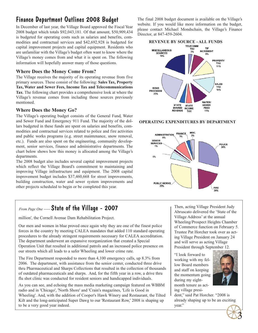# Finance Department Outlines 2008 Budget

In December of last year, the Village Board approved the Fiscal Year 2008 budget which totals \$92,043,181. Of that amount, \$50,909,434 is budgeted for operating costs such as salaries and benefits, commodities and contractual services and \$42,692,928 is budgeted for capital improvement projects and capital equipment. Residents who are unfamiliar with the Village's budget often want to know where the Village's money comes from and what it is spent on. The following information will hopefully answer many of those questions.

#### **Where Does the Money Come From?**

The Village receives the majority of its operating revenue from five primary sources. These consist of the following: **Sales Tax, Property Tax, Water and Sewer Fees, Income Tax and Telecommunications Tax**. The following chart provides a comprehensive look at where the Village's revenue comes from including those sources previously mentioned.

#### **Where Does the Money Go?**

The Village's operating budget consists of the General Fund, Water and Sewer Fund and Emergency 911 Fund. The majority of the dollars budgeted in these funds are spent on salaries and benefits, commodities and contractual services related to police and fire activities and public works programs (e.g. street maintenance, snow removal, etc.). Funds are also spent on the engineering, community development, senior services, finance and administrative departments. The chart below shows how this money is allocated among the Village's departments.

The 2008 budget also includes several capital improvement projects which reflect the Village Board's commitment to maintaining and improving Village infrastructure and equipment. The 2008 capital improvement budget includes \$37,460,668 for street improvements, building construction, water and sewer system improvements and other projects scheduled to begin or be completed this year.

# *From Page One -----* State of the Village - 2007

million', the Cornell Avenue Dam Rehabilitation Project.

Our men and women in blue proved once again why they are one of the finest police forces in the country by meeting CALEA mandates that added 110 standard operating procedures to the already stringent requirements necessary for CALEA accreditation. The department underwent an expansive reorganization that created a Special Operation Unit that resulted in additional patrols and an increased police presence on our streets which all leads to a safer Wheeling and lower crime rate.

The Fire Department responded to more than 4,100 emergency calls, up 8.3% from 2006. The department, with assistance from the senior center, conducted three drive thru Pharmaceutical and Sharps Collections that resulted in the collection of thousands of outdated pharmaceuticals and sharps. And, for the fifth year in a row, a drive thru flu shot clinic was conducted for resident seniors and handicapped individuals.

As you can see, and echoing the mass media marketing campaign featured on WBBM radio and in 'Chicago', 'North Shore' and 'Crain's magazines, 'Life is Good in Wheeling'. And, with the addition of Cooper's Hawk Winery and Restaurant, the Tilted Kilt and the long-anticipated Super Dawg to our 'Restaurant Row,' 2008 is shaping up to be a very good year indeed.

The final 2008 budget document is available on the Village's website. If you would like more information on the budget, please contact Michael Mondschain, the Village's Finance Director, at 847-459-2604.



#### **OPERATING EXPENDITURES BY DEPARTMENT**



Then, acting Village President Judy Abruscato delivered the 'State of the Village Address' at the annual Wheeling/Prospect Heights Chamber of Commerce function on February 5. Trustee Pat Horcher took over as acting Village President on January 24 and will serve as acting Village President through September 12.

"I look forward to working with my fellow Board members and staff on keeping the momentum going during my eightmonth tenure as acting village presi-



dent," said Pat Horcher. "2008 is already shaping up to be an exciting year."

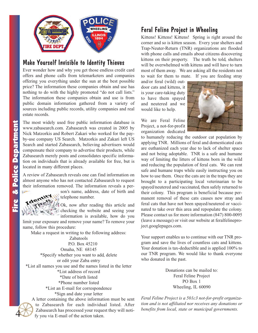

### Make Yourself Invisible to Identity Thieves

Ever wonder how and why you get those endless credit card offers and phone calls from telemarketers and companies offering you everything under the sun at the best possible price? The information these companies obtain and use has nothing to do with the highly promoted "do not call lists." The information these companies obtain and use is from public domain information gathered from a variety of sources including public records, utility companies and real estate records.

The most widely used free public information database is www.zabasearch.com. Zabasearch was created in 2005 by Nick Matzorkis and Robert Zakari who worked for the payby-use company US Search. Matzorkis and Zakari left US Search and started Zabasearch, believing advertisers would compensate their company to advertise their products, while Zabasearch merely posts and consolidates specific information on individuals that is already available for free, but is located in many different places.

A review of Zabasearch reveals one can find information on almost anyone who has not contacted Zabasearch to request their information removed. The information reveals a per-

son's name, address, date of birth and

telephone number.

Ok, now after reading this article and checking the website and seeing your information is available, how do you

limit your exposure and remove your name? To remove your name, follow this procedure:

Make a request in writing to the following address:

Zabatools P.O. Box 45210 Omaha, NE 68145 \*Specify whether you want to add, delete or edit your Zaba entry \*List all names you use and the names listed in the letter \*List address of record \*Date of birth listed \*Phone number listed \*List an E-mail for correspondence \*Sign and date your letter

A letter containing the above information must be sent to Zabasearch for each individual listed. After Zabasearch has processed your request they will notify you via E-mail of the action taken.

### Feral Feline Project in Wheeling

Kittens! Kittens! Kittens! Spring is right around the corner and so is kitten season. Every year shelters and Trap-Neuter-Return (TNR) organizations are flooded with phone calls and emails about citizens discovering kittens on their property. The truth be told, shelters will be overwhelmed with kittens and will have to turn most of them away. We are asking all the residents not to wait for them to mate. If you are feeding stray

and/or feral (wild) outdoor cats and kittens, it is your care-taking duty to have them spayed and neutered and we would like to help.



We are Feral Feline Project, a not-for-profit organization dedicated

to humanely reducing the outdoor cat population by applying TNR. Millions of feral and domesticated cats are euthanized each year due to lack of shelter space and not being adoptable. TNR is a safe and humane way of limiting the litters of kittens born in the wild and reducing the population of feral cats. We can rent safe and humane traps while easily instructing you on how to use them. Once the cats are in the traps they are brought to a participating local veterinarian to be spayed/neutered and vaccinated, then safely returned to their colony. This program is beneficial because permanent removal of these cats causes new stray and feral cats that have not been spayed/neutered or vaccinated to take over this area and repopulate the colony. Please contact us for more information (847) 800-0095 (leave a message) or visit our website at feralfelineproject.googlepages.com.

Your support enables us to continue with our TNR program and save the lives of countless cats and kittens. Your donation is tax-deductible and is applied 100% to our TNR program. We would like to thank everyone who donated in the past.

> Donations can be mailed to: Feral Feline Project PO Box 1 Wheeling, IL 60090

*Feral Feline Project is a 501c3 not-for-profit organization and is not affiliated nor receives any donations or benefits from local, state or municipal governments.* 

4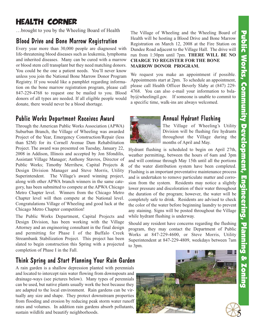5

# Health Corner

…brought to you by the Wheeling Board of Health

# Blood Drive and Bone Marrow Registration

Every year more than 30,000 people are diagnosed with life-threatening blood diseases such as leukemia, lymphoma and inherited diseases. Many can be cured with a marrow or blood stem cell transplant but they need matching donors. You could be the one a patient needs. You'll never know unless you join the National Bone Marrow Donor Program Registry. If you would like a pamphlet regarding information on the bone marrow registration program, please call 847-229-4768 to request one be mailed to you. Blood donors of all types are needed. If all eligible people would donate, there would never be a blood shortage.

# Public Works Department Receives Award

Through the American Public Works Association (APWA) Suburban Branch, the Village of Wheeling was awarded Project of the Year, Emergency Construction/Repair (less than \$2M) for its Cornell Avenue Dam Rehabilitation Project. The award was presented on Tuesday, January 22, 2008 in Addison, Illinois and accepted by Jon Sfondilis, Assistant Village Manager; Anthony Stavros, Director of Public Works; Timothy Merrihew, Capital Projects & Design Division Manager and Steve Morris, Utility Superintendent. The Village's award winning project, along with other APWA branch winners in the same category, has been submitted to compete at the APWA Chicago Metro Chapter level. Winners from the Chicago Metro Chapter level will then compete at the National level. Congratulations Village of Wheeling and good luck at the Chicago Metro Chapter competition!

The Public Works Department, Capital Projects and Design Division, has been working with the Village Attorney and an engineering consultant in the final design and permitting for Phase I of the Buffalo Creek Streambank Stabilization Project. This project has been slated to begin construction this Spring with a projected completion of Phase I in the Fall.

# Think Spring and Start Planning Your Rain Garden

A rain garden is a shallow depression planted with perennials and located to intercept rain water flowing from downspouts and drainage-ways (see pictures below). Many types of perennials can be used, but native plants usually work the best because they are adapted to the local environment. Rain gardens can be virtually any size and shape. They protect downstream properties from flooding and erosion by reducing peak storm water runoff rates and volumes. In addition rain gardens absorb pollutants, sustain wildlife and beautify neighborhoods.

The Village of Wheeling and the Wheeling Board of Health will be hosting a Blood Drive and Bone Marrow Registration on March 12, 2008 at the Fire Station on Dundee Road adjacent to the Village Hall. The drive will run from 1:30pm until 7pm. **THERE WILL BE NO CHARGE TO REGISTER FOR THE BONE MARROW DONOR PROGRAM.**

We request you make an appointment if possible. Appointments start at 2pm. To schedule an appointment, please call Health Officer Beverly Slaby at (847) 229- 4768. You can also e-mail your information to bslaby@wheelingil.gov. If someone is unable to commit to a specific time, walk-ins are always welcomed.



# Annual Hydrant Flushing

The Village of Wheeling's Utility Division will be flushing fire hydrants throughout the Village during the months of April and May.

Hydrant flushing is scheduled to begin on April 27th, weather permitting, between the hours of 6am and 3pm and will continue through May 15th until all the portions of the water distribution system have been completed. Flushing is an important preventative maintenance process and is undertaken to remove particulate matter and corrosion from the system. Residents may notice a slightly lower pressure and discoloration of their water throughout the duration of the program; however, the water will be completely safe to drink. Residents are advised to check the color of the water before beginning laundry to prevent any staining. Signs will be posted throughout the Village while hydrant flushing is underway.

Should any resident have concerns regarding the flushing program, they may contact the Department of Public Works at 847-229-4600, or Steve Morris, Utility Superintendent at 847-229-4809, weekdays between 7am to 3pm.

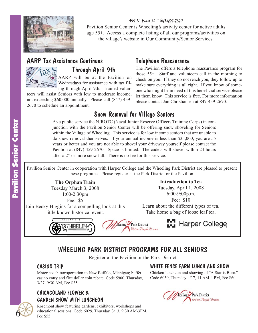

199 N. First St. \* 847-459-2670 Pavilion Senior Center is Wheeling's activity center for active adults age 55+. Access a complete listing of all our programs/activities on the village's website in Our Community/Senior Services.

#### AARP Tax Assistance Continues Through April 9th AARP will be at the Pavilion on

Wednesdays for assistance with tax fil-U.S. Individual Inc ing through April 9th. Trained volun-

teers will assist Seniors with low to moderate income, not exceeding \$60,000 annually. Please call (847) 459- 2670 to schedule an appointment.

## Telephone Reassurance

The Pavilion offers a telephone reassurance program for those 55+. Staff and volunteers call in the morning to check on you. If they do not reach you, they follow up to make sure everything is all right. If you know of someone who might be in need of this beneficial service please let them know. This service is free. For more information please contact Jan Christiansen at 847-459-2670.

# Snow Removal for Village Seniors

As a public service the NJROTC (Naval Junior Reserve Officers Training Corps) in conjunction with the Pavilion Senior Center will be offering snow shoveling for Seniors within the Village of Wheeling. This service is for low income seniors that are unable to do snow removal themselves. If your annual income is less than \$35,000, you are 55 years or better and you are not able to shovel your driveway yourself please contact the Pavilion at (847) 459-2670. Space is limited. The cadets will shovel within 24 hours after a 2" or more snow fall. There is no fee for this service.

Pavilion Senior Center in cooperation with Harper College and the Wheeling Park District are pleased to present these programs. Please register at the Park District or the Pavilion.

> **The Orphan Train** Tuesday March 3, 2008 1:00-2:30pm

Fee: \$5

Join Becky Higgins for a compelling look at this little known historical event.



Learn about the different types of tea. Take home a bag of loose leaf tea.





# Harper College

# WHEELING PARK DISTRICT PROGRAMS FOR ALL SENIORS

Register at the Pavilion or the Park District

#### CASINO TRIP

Motor coach transportation to New Buffalo, Michigan; buffet, casino entry and five dollar coin rebate. Code 5900, Thursday, 3/27, 9:30 AM, Fee \$35

#### CHICAGOLAND FLOWER & GARDEN SHOW WITH LUNCHEON

Rosemont show featuring gardens, exhibitors, workshops and educational sessions. Code 6029, Thursday, 3/13, 9:30 AM-3PM, Fee \$55

#### WHITE FENCE FARM LUNCH AND SHOW

Chicken luncheon and showing of "A Star is Born." Code 6030, Thursday 4/17, 11 AM-4 PM, Fee \$60



6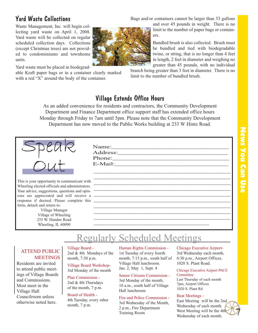# News You Can Use News You Can Use

# Yard Waste Collections

Waste Management, Inc. will begin collecting yard waste on April 1, 2008. Yard waste will be collected on regular scheduled collection days. Collections (except Christmas trees) are not provided to condominiums and townhome units.

Yard waste must be placed in biodegrad-

able Kraft paper bags or in a container clearly marked with a red "X" around the body of the container.

Bags and/or containers cannot be larger than 33 gallons

and over 45 pounds in weight. There is no limit to the number of paper bags or containers.

Bundled brush is also collected. Brush must be bundled and tied with biodegradable twine, or string, that is no longer than 4 feet in length, 2 feet in diameter and weighing no greater than 45 pounds, with no individual

branch being greater than 3 feet in diameter. There is no limit to the number of bundled brush.

#### Village Extends Office Hours

As an added convenience for residents and contractors, the Community Development Department and Finance Department office support staff has extended office hours Monday through Friday to 7am until 5pm. Please note that the Community Development Department has now moved to the Public Works building at 233 W Hintz Road.



This is your opportunity to communicate with Wheeling elected officials and administrators. Your advice, suggestions, questions and opinions are appreciated and will receive a response if desired. Please complete this form, detach and return to:

> Village Manager Village of Wheeling 255 W. Dundee Road Wheeling, IL 60090

| Name:    |  |
|----------|--|
| Address: |  |
| Phone:   |  |
| E-Mail:  |  |

# Regularly Scheduled Meetings

#### ATTEND PUBLIC **MEETINGS**

Residents are invited to attend public meetings of Village Boards and Commissions. Most meet in the Village Hall Councilroom unless otherwise noted here.

Village Board - 2nd & 4th Mondays of the month, 7:30 p.m.

Village Board Workshop-3rd Monday of the month

Plan Commission - 2nd & 4th Thursdays of the month, 7 p.m.

Board of Health - 4th Tuesday, every other month, 7 p.m.

Human Rights Commission - 1st Tuesday of every fourth month, 7:15 p.m., south half of Village Hall lunchroom. Jan. 2, May 1, Sept. 4

\_\_\_\_\_\_\_\_\_\_\_\_\_\_\_\_\_\_\_\_\_\_\_\_\_\_\_\_\_\_\_\_\_\_\_\_\_\_\_\_\_\_\_\_\_\_\_\_

\_\_\_\_\_\_\_\_\_\_\_\_\_\_\_\_\_\_\_\_\_\_\_\_\_\_\_\_\_\_\_\_\_\_\_\_\_\_\_\_\_\_\_\_\_\_\_\_\_\_\_\_\_\_\_\_\_ \_\_\_\_\_\_\_\_\_\_\_\_\_\_\_\_\_\_\_\_\_\_\_\_\_\_\_\_\_\_\_\_\_\_\_\_\_\_\_\_\_\_\_\_\_\_\_\_\_\_\_\_\_\_\_\_\_ \_\_\_\_\_\_\_\_\_\_\_\_\_\_\_\_\_\_\_\_\_\_\_\_\_\_\_\_\_\_\_\_\_\_\_\_\_\_\_\_\_\_\_\_\_\_\_\_\_\_\_\_\_\_\_\_\_ \_\_\_\_\_\_\_\_\_\_\_\_\_\_\_\_\_\_\_\_\_\_\_\_\_\_\_\_\_\_\_\_\_\_\_\_\_\_\_\_\_\_\_\_\_\_\_\_\_\_\_\_\_\_\_\_\_ \_\_\_\_\_\_\_\_\_\_\_\_\_\_\_\_\_\_\_\_\_\_\_\_\_\_\_\_\_\_\_\_\_\_\_\_\_\_\_\_\_\_\_\_\_\_\_\_\_\_\_\_\_\_\_\_\_ \_\_\_\_\_\_\_\_\_\_\_\_\_\_\_\_\_\_\_\_\_\_\_\_\_\_\_\_\_\_\_\_\_\_\_\_\_\_\_\_\_\_\_\_\_\_\_\_\_\_\_\_\_\_\_\_\_ \_\_\_\_\_\_\_\_\_\_\_\_\_\_\_\_\_\_\_\_\_\_\_\_\_\_\_\_\_\_\_\_\_\_\_\_\_\_\_\_\_\_\_\_\_\_\_\_\_\_\_\_\_\_\_\_\_ \_\_\_\_\_\_\_\_\_\_\_\_\_\_\_\_\_\_\_\_\_\_\_\_\_\_\_\_\_\_\_\_\_\_\_\_\_\_\_\_\_\_\_\_\_\_\_\_\_\_\_\_\_\_\_\_\_ \_\_\_\_\_\_\_\_\_\_\_\_\_\_\_\_\_\_\_\_\_\_\_\_\_\_\_\_\_\_\_\_\_\_\_\_\_\_\_\_\_\_\_\_\_\_\_\_\_\_\_\_\_\_\_\_\_

> Senior Citizens Commission - 3rd Monday of the month, 10 a.m., south half of Village Hall lunchroom

> Fire and Police Commission - 3rd Wednesday of the Month, 2 p.m., Fire Department Training Room

Chicago Executive Airport-3rd Wednesday each month, 6:30 p.m., Airport Offices, 1020 S. Plant Road.

#### Chicago Executive Airport PACE **Committee**

Last Thursday of each month 7pm, Airport Offices 1020 S. Plant Rd

#### Beat Meetings -

East Meeting will be the 2nd Wednesday of each month. West Meeting will be the 4th Wednesday of each month.